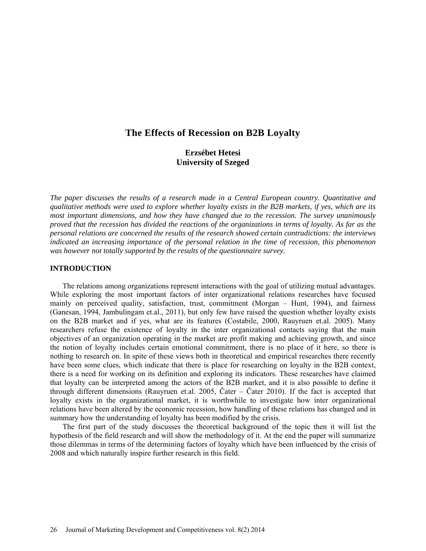# **The Effects of Recession on B2B Loyalty**

# **Erzsébet Hetesi University of Szeged**

*The paper discusses the results of a research made in a Central European country. Quantitative and qualitative methods were used to explore whether loyalty exists in the B2B markets, if yes, which are its most important dimensions, and how they have changed due to the recession. The survey unanimously proved that the recession has divided the reactions of the organizations in terms of loyalty. As far as the personal relations are concerned the results of the research showed certain contradictions: the interviews indicated an increasing importance of the personal relation in the time of recession, this phenomenon was however not totally supported by the results of the questionnaire survey.*

#### **INTRODUCTION**

The relations among organizations represent interactions with the goal of utilizing mutual advantages. While exploring the most important factors of inter organizational relations researches have focused mainly on perceived quality, satisfaction, trust, commitment (Morgan – Hunt, 1994), and fairness (Ganesan, 1994, Jambulingam et.al., 2011), but only few have raised the question whether loyalty exists on the B2B market and if yes, what are its features (Costabile, 2000, Rauyruen et.al. 2005). Many researchers refuse the existence of loyalty in the inter organizational contacts saying that the main objectives of an organization operating in the market are profit making and achieving growth, and since the notion of loyalty includes certain emotional commitment, there is no place of it here, so there is nothing to research on. In spite of these views both in theoretical and empirical researches there recently have been some clues, which indicate that there is place for researching on loyalty in the B2B context, there is a need for working on its definition and exploring its indicators. These researches have claimed that loyalty can be interpreted among the actors of the B2B market, and it is also possible to define it through different dimensions (Rauyruen et.al. 2005, Čater – Čater 2010). If the fact is accepted that loyalty exists in the organizational market, it is worthwhile to investigate how inter organizational relations have been altered by the economic recession, how handling of these relations has changed and in summary how the understanding of loyalty has been modified by the crisis.

The first part of the study discusses the theoretical background of the topic then it will list the hypothesis of the field research and will show the methodology of it. At the end the paper will summarize those dilemmas in terms of the determining factors of loyalty which have been influenced by the crisis of 2008 and which naturally inspire further research in this field.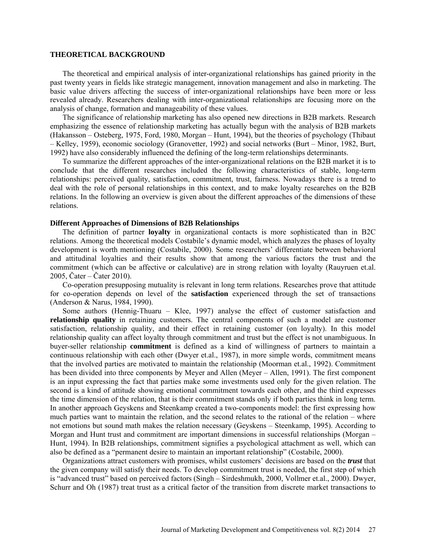#### **THEORETICAL BACKGROUND**

The theoretical and empirical analysis of inter-organizational relationships has gained priority in the past twenty years in fields like strategic management, innovation management and also in marketing. The basic value drivers affecting the success of inter-organizational relationships have been more or less revealed already. Researchers dealing with inter-organizational relationships are focusing more on the analysis of change, formation and manageability of these values.

The significance of relationship marketing has also opened new directions in B2B markets. Research emphasizing the essence of relationship marketing has actually begun with the analysis of B2B markets (Hakansson – Osteberg, 1975, Ford, 1980, Morgan – Hunt, 1994), but the theories of psychology (Thibaut – Kelley, 1959), economic sociology (Granovetter, 1992) and social networks (Burt – Minor, 1982, Burt, 1992) have also considerably influenced the defining of the long-term relationships determinants.

To summarize the different approaches of the inter-organizational relations on the B2B market it is to conclude that the different researches included the following characteristics of stable, long-term relationships: perceived quality, satisfaction, commitment, trust, fairness. Nowadays there is a trend to deal with the role of personal relationships in this context, and to make loyalty researches on the B2B relations. In the following an overview is given about the different approaches of the dimensions of these relations.

### **Different Approaches of Dimensions of B2B Relationships**

The definition of partner **loyalty** in organizational contacts is more sophisticated than in B2C relations. Among the theoretical models Costabile's dynamic model, which analyzes the phases of loyalty development is worth mentioning (Costabile, 2000). Some researchers' differentiate between behavioral and attitudinal loyalties and their results show that among the various factors the trust and the commitment (which can be affective or calculative) are in strong relation with loyalty (Rauyruen et.al. 2005, Čater – Čater 2010).

Co-operation presupposing mutuality is relevant in long term relations. Researches prove that attitude for co-operation depends on level of the **satisfaction** experienced through the set of transactions (Anderson & Narus, 1984, 1990).

Some authors (Hennig-Thuaru – Klee, 1997) analyse the effect of customer satisfaction and **relationship quality** in retaining customers. The central components of such a model are customer satisfaction, relationship quality, and their effect in retaining customer (on loyalty). In this model relationship quality can affect loyalty through commitment and trust but the effect is not unambiguous. In buyer-seller relationship **commitment** is defined as a kind of willingness of partners to maintain a continuous relationship with each other (Dwyer et.al., 1987), in more simple words, commitment means that the involved parties are motivated to maintain the relationship (Moorman et.al., 1992). Commitment has been divided into three components by Meyer and Allen (Meyer – Allen, 1991). The first component is an input expressing the fact that parties make some investments used only for the given relation. The second is a kind of attitude showing emotional commitment towards each other, and the third expresses the time dimension of the relation, that is their commitment stands only if both parties think in long term. In another approach Geyskens and Steenkamp created a two-components model: the first expressing how much parties want to maintain the relation, and the second relates to the rational of the relation – where not emotions but sound math makes the relation necessary (Geyskens – Steenkamp, 1995). According to Morgan and Hunt trust and commitment are important dimensions in successful relationships (Morgan – Hunt, 1994). In B2B relationships, commitment signifies a psychological attachment as well, which can also be defined as a "permanent desire to maintain an important relationship" (Costabile, 2000).

Organizations attract customers with promises, whilst customers' decisions are based on the *trust* that the given company will satisfy their needs. To develop commitment trust is needed, the first step of which is "advanced trust" based on perceived factors (Singh – Sirdeshmukh, 2000, Vollmer et.al., 2000). Dwyer, Schurr and Oh (1987) treat trust as a critical factor of the transition from discrete market transactions to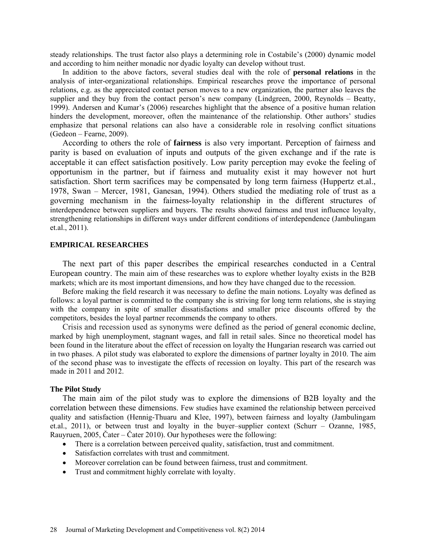steady relationships. The trust factor also plays a determining role in Costabile's (2000) dynamic model and according to him neither monadic nor dyadic loyalty can develop without trust.

In addition to the above factors, several studies deal with the role of **personal relations** in the analysis of inter-organizational relationships. Empirical researches prove the importance of personal relations, e.g. as the appreciated contact person moves to a new organization, the partner also leaves the supplier and they buy from the contact person's new company (Lindgreen, 2000, Reynolds – Beatty, 1999). Andersen and Kumar's (2006) researches highlight that the absence of a positive human relation hinders the development, moreover, often the maintenance of the relationship. Other authors' studies emphasize that personal relations can also have a considerable role in resolving conflict situations (Gedeon – Fearne, 2009).

According to others the role of **fairness** is also very important. Perception of fairness and parity is based on evaluation of inputs and outputs of the given exchange and if the rate is acceptable it can effect satisfaction positively. Low parity perception may evoke the feeling of opportunism in the partner, but if fairness and mutuality exist it may however not hurt satisfaction. Short term sacrifices may be compensated by long term fairness (Huppertz et.al., 1978, Swan – Mercer, 1981, Ganesan, 1994). Others studied the mediating role of trust as a governing mechanism in the fairness-loyalty relationship in the different structures of interdependence between suppliers and buyers. The results showed fairness and trust influence loyalty, strengthening relationships in different ways under different conditions of interdependence (Jambulingam et.al., 2011).

## **EMPIRICAL RESEARCHES**

The next part of this paper describes the empirical researches conducted in a Central European country. The main aim of these researches was to explore whether loyalty exists in the B2B markets; which are its most important dimensions, and how they have changed due to the recession.

Before making the field research it was necessary to define the main notions. Loyalty was defined as follows: a loyal partner is committed to the company she is striving for long term relations, she is staying with the company in spite of smaller dissatisfactions and smaller price discounts offered by the competitors, besides the loyal partner recommends the company to others.

Crisis and recession used as synonyms were defined as the [period](http://www.businessdictionary.com/definition/period.html) of [general](http://www.businessdictionary.com/definition/general.html) economic decline, marked by [high](http://www.businessdictionary.com/definition/high.html) [unemployment,](http://www.businessdictionary.com/definition/unemployment.html) stagnant [wages,](http://www.businessdictionary.com/definition/wages.html) and fall in [retail sales.](http://www.businessdictionary.com/definition/retail-sales.html) Since no theoretical model has been found in the literature about the effect of recession on loyalty the Hungarian research was carried out in two phases. A pilot study was elaborated to explore the dimensions of partner loyalty in 2010. The aim of the second phase was to investigate the effects of recession on loyalty. This part of the research was made in 2011 and 2012.

#### **The Pilot Study**

The main aim of the pilot study was to explore the dimensions of B2B loyalty and the correlation between these dimensions. Few studies have examined the relationship between perceived quality and satisfaction (Hennig-Thuaru and Klee, 1997), between fairness and loyalty (Jambulingam et.al., 2011), or between trust and loyalty in the buyer–supplier context (Schurr – Ozanne, 1985, Rauyruen, 2005, Čater – Čater 2010). Our hypotheses were the following:

- There is a correlation between perceived quality, satisfaction, trust and commitment.
- Satisfaction correlates with trust and commitment.
- Moreover correlation can be found between fairness, trust and commitment.
- Trust and commitment highly correlate with loyalty.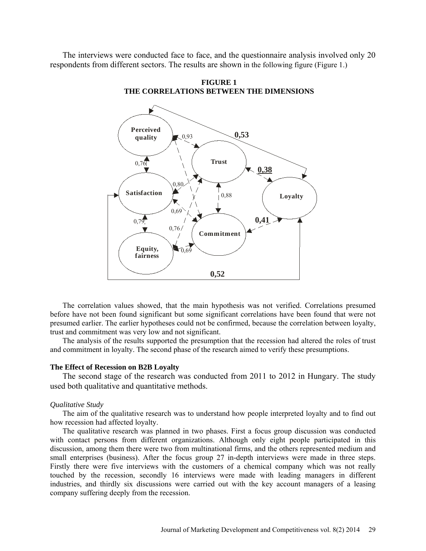The interviews were conducted face to face, and the questionnaire analysis involved only 20 respondents from different sectors. The results are shown in the following figure (Figure 1.)



**FIGURE 1 THE CORRELATIONS BETWEEN THE DIMENSIONS**

The correlation values showed, that the main hypothesis was not verified. Correlations presumed before have not been found significant but some significant correlations have been found that were not presumed earlier. The earlier hypotheses could not be confirmed, because the correlation between loyalty, trust and commitment was very low and not significant.

The analysis of the results supported the presumption that the recession had altered the roles of trust and commitment in loyalty. The second phase of the research aimed to verify these presumptions.

## **The Effect of Recession on B2B Loyalty**

The second stage of the research was conducted from 2011 to 2012 in Hungary. The study used both qualitative and quantitative methods.

#### *Qualitative Study*

The aim of the qualitative research was to understand how people interpreted loyalty and to find out how recession had affected loyalty.

The qualitative research was planned in two phases. First a focus group discussion was conducted with contact persons from different organizations. Although only eight people participated in this discussion, among them there were two from multinational firms, and the others represented medium and small enterprises (business). After the focus group 27 in-depth interviews were made in three steps. Firstly there were five interviews with the customers of a chemical company which was not really touched by the recession, secondly 16 interviews were made with leading managers in different industries, and thirdly six discussions were carried out with the key account managers of a leasing company suffering deeply from the recession.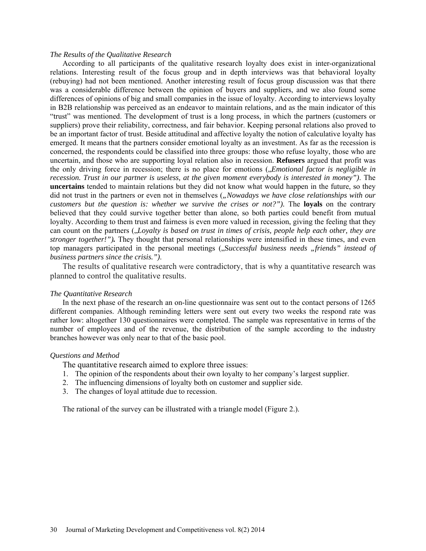#### *The Results of the Qualitative Research*

According to all participants of the qualitative research loyalty does exist in inter-organizational relations. Interesting result of the focus group and in depth interviews was that behavioral loyalty (rebuying) had not been mentioned. Another interesting result of focus group discussion was that there was a considerable difference between the opinion of buyers and suppliers, and we also found some differences of opinions of big and small companies in the issue of loyalty. According to interviews loyalty in B2B relationship was perceived as an endeavor to maintain relations, and as the main indicator of this "trust" was mentioned. The development of trust is a long process, in which the partners (customers or suppliers) prove their reliability, correctness, and fair behavior. Keeping personal relations also proved to be an important factor of trust. Beside attitudinal and affective loyalty the notion of calculative loyalty has emerged. It means that the partners consider emotional loyalty as an investment. As far as the recession is concerned, the respondents could be classified into three groups: those who refuse loyalty, those who are uncertain, and those who are supporting loyal relation also in recession. **Refusers** argued that profit was the only driving force in recession; there is no place for emotions ("*Emotional factor is negligible in recession. Trust in our partner is useless, at the given moment everybody is interested in money")*. The **uncertains** tended to maintain relations but they did not know what would happen in the future, so they did not trust in the partners or even not in themselves ("*Nowadays we have close relationships with our customers but the question is: whether we survive the crises or not?").* The **loyals** on the contrary believed that they could survive together better than alone, so both parties could benefit from mutual loyalty. According to them trust and fairness is even more valued in recession, giving the feeling that they can count on the partners (*,Loyalty is based on trust in times of crisis, people help each other, they are stronger together!").* They thought that personal relationships were intensified in these times, and even top managers participated in the personal meetings ("Successful business needs "friends" instead of *business partners since the crisis.")*.

The results of qualitative research were contradictory, that is why a quantitative research was planned to control the qualitative results.

#### *The Quantitative Research*

In the next phase of the research an on-line questionnaire was sent out to the contact persons of 1265 different companies. Although reminding letters were sent out every two weeks the respond rate was rather low: altogether 130 questionnaires were completed. The sample was representative in terms of the number of employees and of the revenue, the distribution of the sample according to the industry branches however was only near to that of the basic pool.

#### *Questions and Method*

The quantitative research aimed to explore three issues:

- 1. The opinion of the respondents about their own loyalty to her company's largest supplier.
- 2. The influencing dimensions of loyalty both on customer and supplier side.
- 3. The changes of loyal attitude due to recession.

The rational of the survey can be illustrated with a triangle model (Figure 2.).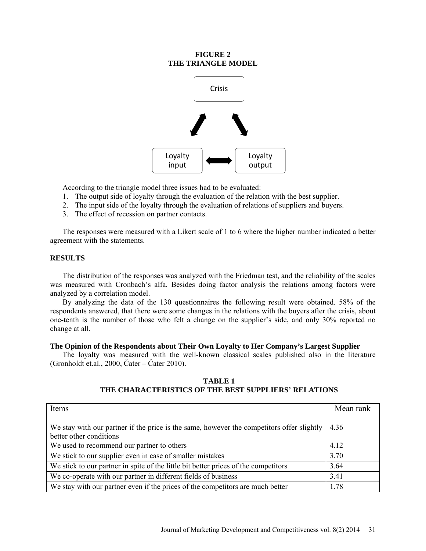## **FIGURE 2 THE TRIANGLE MODEL**



According to the triangle model three issues had to be evaluated:

- 1. The output side of loyalty through the evaluation of the relation with the best supplier.
- 2. The input side of the loyalty through the evaluation of relations of suppliers and buyers.
- 3. The effect of recession on partner contacts.

The responses were measured with a Likert scale of 1 to 6 where the higher number indicated a better agreement with the statements.

## **RESULTS**

The distribution of the responses was analyzed with the Friedman test, and the reliability of the scales was measured with Cronbach's alfa. Besides doing factor analysis the relations among factors were analyzed by a correlation model.

By analyzing the data of the 130 questionnaires the following result were obtained. 58% of the respondents answered, that there were some changes in the relations with the buyers after the crisis, about one-tenth is the number of those who felt a change on the supplier's side, and only 30% reported no change at all.

### **The Opinion of the Respondents about Their Own Loyalty to Her Company's Largest Supplier**

The loyalty was measured with the well-known classical scales published also in the literature (Gronholdt et.al., 2000, Čater – Čater 2010).

### **TABLE 1 THE CHARACTERISTICS OF THE BEST SUPPLIERS' RELATIONS**

| Items                                                                                     | Mean rank |  |
|-------------------------------------------------------------------------------------------|-----------|--|
|                                                                                           |           |  |
| We stay with our partner if the price is the same, however the competitors offer slightly | 4.36      |  |
| better other conditions                                                                   |           |  |
| We used to recommend our partner to others                                                | 4.12      |  |
| We stick to our supplier even in case of smaller mistakes                                 | 3.70      |  |
| We stick to our partner in spite of the little bit better prices of the competitors       | 3.64      |  |
| We co-operate with our partner in different fields of business                            | 3.41      |  |
| We stay with our partner even if the prices of the competitors are much better            | 1.78      |  |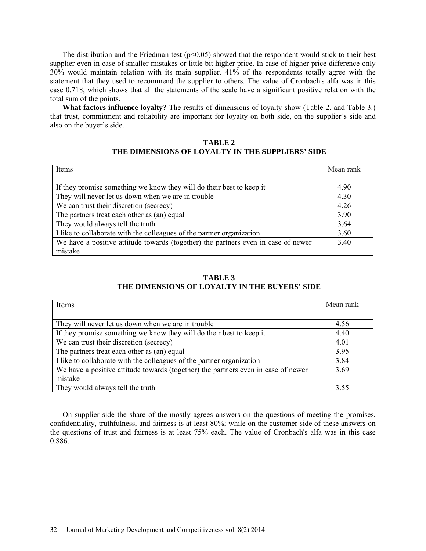The distribution and the Friedman test  $(p<0.05)$  showed that the respondent would stick to their best supplier even in case of smaller mistakes or little bit higher price. In case of higher price difference only 30% would maintain relation with its main supplier. 41% of the respondents totally agree with the statement that they used to recommend the supplier to others. The value of Cronbach's alfa was in this case 0.718, which shows that all the statements of the scale have a significant positive relation with the total sum of the points.

**What factors influence loyalty?** The results of dimensions of loyalty show (Table 2. and Table 3.) that trust, commitment and reliability are important for loyalty on both side, on the supplier's side and also on the buyer's side.

## **TABLE 2 THE DIMENSIONS OF LOYALTY IN THE SUPPLIERS' SIDE**

| Items                                                                             | Mean rank |
|-----------------------------------------------------------------------------------|-----------|
|                                                                                   |           |
| If they promise something we know they will do their best to keep it              | 4.90      |
| They will never let us down when we are in trouble                                | 4.30      |
| We can trust their discretion (secrecy)                                           | 4.26      |
| The partners treat each other as (an) equal                                       | 3.90      |
| They would always tell the truth                                                  | 3.64      |
| I like to collaborate with the colleagues of the partner organization             | 3.60      |
| We have a positive attitude towards (together) the partners even in case of newer | 3.40      |
| mistake                                                                           |           |

# **TABLE 3 THE DIMENSIONS OF LOYALTY IN THE BUYERS' SIDE**

| Items                                                                             | Mean rank |
|-----------------------------------------------------------------------------------|-----------|
|                                                                                   |           |
| They will never let us down when we are in trouble                                | 4.56      |
| If they promise something we know they will do their best to keep it              | 4.40      |
| We can trust their discretion (secrecy)                                           | 4.01      |
| The partners treat each other as (an) equal                                       | 3.95      |
| I like to collaborate with the colleagues of the partner organization             | 3.84      |
| We have a positive attitude towards (together) the partners even in case of newer | 3.69      |
| mistake                                                                           |           |
| They would always tell the truth                                                  | 3.55      |

On supplier side the share of the mostly agrees answers on the questions of meeting the promises, confidentiality, truthfulness, and fairness is at least 80%; while on the customer side of these answers on the questions of trust and fairness is at least 75% each. The value of Cronbach's alfa was in this case 0.886.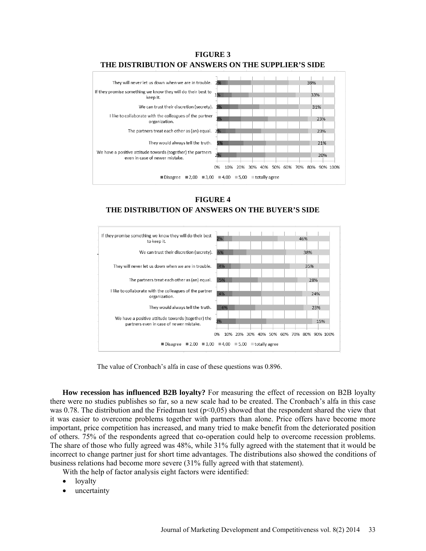



**FIGURE 4 THE DISTRIBUTION OF ANSWERS ON THE BUYER'S SIDE**



The value of Cronbach's alfa in case of these questions was 0.896.

**How recession has influenced B2B loyalty?** For measuring the effect of recession on B2B loyalty there were no studies publishes so far, so a new scale had to be created. The Cronbach's alfa in this case was 0.78. The distribution and the Friedman test ( $p<0.05$ ) showed that the respondent shared the view that it was easier to overcome problems together with partners than alone. Price offers have become more important, price competition has increased, and many tried to make benefit from the deteriorated position of others. 75% of the respondents agreed that co-operation could help to overcome recession problems. The share of those who fully agreed was 48%, while 31% fully agreed with the statement that it would be incorrect to change partner just for short time advantages. The distributions also showed the conditions of business relations had become more severe (31% fully agreed with that statement).

With the help of factor analysis eight factors were identified:

- **loyalty**
- uncertainty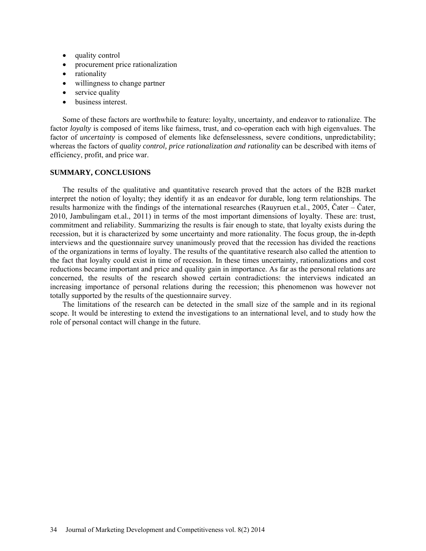- quality control
- procurement price rationalization
- rationality
- willingness to change partner
- service quality
- business interest.

Some of these factors are worthwhile to feature: loyalty, uncertainty, and endeavor to rationalize. The factor *loyalty* is composed of items like fairness, trust, and co-operation each with high eigenvalues. The factor of *uncertainty* is composed of elements like defenselessness, severe conditions, unpredictability; whereas the factors of *quality control, price rationalization and rationality* can be described with items of efficiency, profit, and price war.

## **SUMMARY, CONCLUSIONS**

The results of the qualitative and quantitative research proved that the actors of the B2B market interpret the notion of loyalty; they identify it as an endeavor for durable, long term relationships. The results harmonize with the findings of the international researches (Rauyruen et.al., 2005, Čater – Čater, 2010, Jambulingam et.al., 2011) in terms of the most important dimensions of loyalty. These are: trust, commitment and reliability. Summarizing the results is fair enough to state, that loyalty exists during the recession, but it is characterized by some uncertainty and more rationality. The focus group, the in-depth interviews and the questionnaire survey unanimously proved that the recession has divided the reactions of the organizations in terms of loyalty. The results of the quantitative research also called the attention to the fact that loyalty could exist in time of recession. In these times uncertainty, rationalizations and cost reductions became important and price and quality gain in importance. As far as the personal relations are concerned, the results of the research showed certain contradictions: the interviews indicated an increasing importance of personal relations during the recession; this phenomenon was however not totally supported by the results of the questionnaire survey.

The limitations of the research can be detected in the small size of the sample and in its regional scope. It would be interesting to extend the investigations to an international level, and to study how the role of personal contact will change in the future.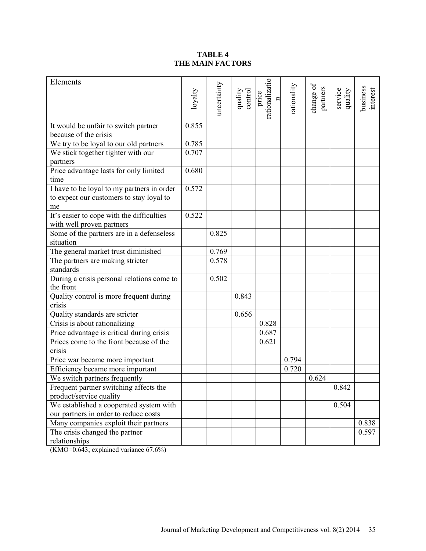# **TABLE 4 THE MAIN FACTORS**

| Elements                                                | loyalty | uncertainty | quality<br>control | rationalizatio<br>price | rationality | change of<br>partners | service<br>quality | business<br>interest |
|---------------------------------------------------------|---------|-------------|--------------------|-------------------------|-------------|-----------------------|--------------------|----------------------|
| It would be unfair to switch partner                    | 0.855   |             |                    |                         |             |                       |                    |                      |
| because of the crisis                                   |         |             |                    |                         |             |                       |                    |                      |
| We try to be loyal to our old partners                  | 0.785   |             |                    |                         |             |                       |                    |                      |
| We stick together tighter with our                      | 0.707   |             |                    |                         |             |                       |                    |                      |
| partners                                                |         |             |                    |                         |             |                       |                    |                      |
| Price advantage lasts for only limited                  | 0.680   |             |                    |                         |             |                       |                    |                      |
| time                                                    |         |             |                    |                         |             |                       |                    |                      |
| I have to be loyal to my partners in order              | 0.572   |             |                    |                         |             |                       |                    |                      |
| to expect our customers to stay loyal to                |         |             |                    |                         |             |                       |                    |                      |
| me                                                      |         |             |                    |                         |             |                       |                    |                      |
| It's easier to cope with the difficulties               | 0.522   |             |                    |                         |             |                       |                    |                      |
| with well proven partners                               |         |             |                    |                         |             |                       |                    |                      |
| Some of the partners are in a defenseless               |         | 0.825       |                    |                         |             |                       |                    |                      |
| situation                                               |         |             |                    |                         |             |                       |                    |                      |
| The general market trust diminished                     |         | 0.769       |                    |                         |             |                       |                    |                      |
| The partners are making stricter                        |         | 0.578       |                    |                         |             |                       |                    |                      |
| standards                                               |         |             |                    |                         |             |                       |                    |                      |
| During a crisis personal relations come to<br>the front |         | 0.502       |                    |                         |             |                       |                    |                      |
| Quality control is more frequent during                 |         |             | 0.843              |                         |             |                       |                    |                      |
| crisis                                                  |         |             |                    |                         |             |                       |                    |                      |
| Quality standards are stricter                          |         |             | 0.656              |                         |             |                       |                    |                      |
| Crisis is about rationalizing                           |         |             |                    | 0.828                   |             |                       |                    |                      |
| Price advantage is critical during crisis               |         |             |                    | 0.687                   |             |                       |                    |                      |
| Prices come to the front because of the                 |         |             |                    | 0.621                   |             |                       |                    |                      |
| crisis                                                  |         |             |                    |                         |             |                       |                    |                      |
| Price war became more important                         |         |             |                    |                         | 0.794       |                       |                    |                      |
| Efficiency became more important                        |         |             |                    |                         | 0.720       |                       |                    |                      |
| We switch partners frequently                           |         |             |                    |                         |             | 0.624                 |                    |                      |
| Frequent partner switching affects the                  |         |             |                    |                         |             |                       | 0.842              |                      |
| product/service quality                                 |         |             |                    |                         |             |                       |                    |                      |
| We established a cooperated system with                 |         |             |                    |                         |             |                       | 0.504              |                      |
| our partners in order to reduce costs                   |         |             |                    |                         |             |                       |                    |                      |
| Many companies exploit their partners                   |         |             |                    |                         |             |                       |                    | 0.838                |
| The crisis changed the partner                          |         |             |                    |                         |             |                       |                    | 0.597                |
| relationships                                           |         |             |                    |                         |             |                       |                    |                      |

(KMO=0.643; explained variance 67.6%)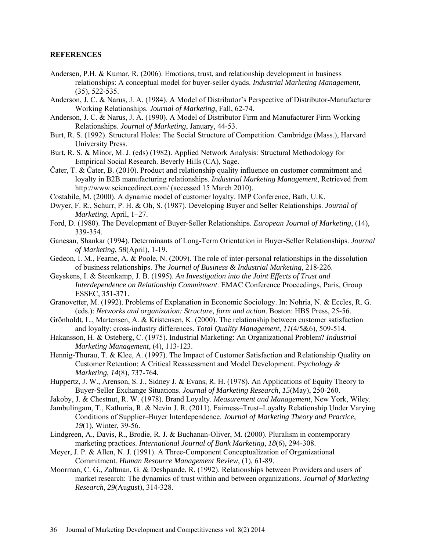### **REFERENCES**

- Andersen, P.H. & Kumar, R. (2006). Emotions, trust, and relationship development in business relationships: A conceptual model for buyer-seller dyads. *Industrial Marketing Management*, (35), 522-535.
- Anderson, J. C. & Narus, J. A. (1984). A Model of Distributor's Perspective of Distributor-Manufacturer Working Relationships. *Journal of Marketing*, Fall, 62-74.
- Anderson, J. C. & Narus, J. A. (1990). A Model of Distributor Firm and Manufacturer Firm Working Relationships. *Journal of Marketing*, January, 44-53.
- Burt, R. S. (1992). Structural Holes: The Social Structure of Competition. Cambridge (Mass.), Harvard University Press.
- Burt, R. S. & Minor, M. J. (eds) (1982). Applied Network Analysis: Structural Methodology for Empirical Social Research. Beverly Hills (CA), Sage.
- Čater, T. & Čater, B. (2010). Product and relationship quality influence on customer commitment and loyalty in B2B manufacturing relationships. *Industrial Marketing Management*, Retrieved from http://www.sciencedirect.com/ (accessed 15 March 2010).
- Costabile, M. (2000). A dynamic model of customer loyalty. IMP Conference, Bath, U.K.
- Dwyer, F. R., Schurr, P. H. & Oh, S. (1987). Developing Buyer and Seller Relationships. *Journal of Marketing*, April, 1–27.
- Ford, D. (1980). The Development of Buyer-Seller Relationships. *European Journal of Marketing*, (14), 339-354.
- Ganesan, Shankar (1994). Determinants of Long-Term Orientation in Buyer-Seller Relationships. *Journal of Marketing*, *58*(April), 1-19.
- Gedeon, I. M., Fearne, A. & Poole, N. (2009). The role of inter-personal relationships in the dissolution of business relationships. *The Journal of Business & Industrial Marketing*, 218-226.
- Geyskens, I. & Steenkamp, J. B. (1995). *An Investigation into the Joint Effects of Trust and Interdependence on Relationship Commitment*. EMAC Conference Proceedings, Paris, Group ESSEC, 351-371.
- Granovetter, M. (1992). Problems of Explanation in Economic Sociology. In: Nohria, N. & Eccles, R. G. (eds.): *Networks and organization: Structure, form and action*. Boston: HBS Press, 25-56.
- Grönholdt, L., Martensen, A. & Kristensen, K. (2000). The relationship between customer satisfaction and loyalty: cross-industry differences. *Total Quality Management*, *11*(4/5&6), 509-514.
- Hakansson, H. & Osteberg, C. (1975). Industrial Marketing: An Organizational Problem? *Industrial Marketing Management*, (4), 113-123.
- Hennig-Thurau, T. & Klee, A. (1997). The Impact of Customer Satisfaction and Relationship Quality on Customer Retention: A Critical Reassessment and Model Development. *Psychology & Marketing*, *14*(8), 737-764.
- Huppertz, J. W., Arenson, S. J., Sidney J. & Evans, R. H. (1978). An Applications of Equity Theory to Buyer-Seller Exchange Situations. *Journal of Marketing Research*, *15*(May), 250-260.
- Jakoby, J. & Chestnut, R. W. (1978). Brand Loyalty. *Measurement and Management*, New York, Wiley.
- Jambulingam, T., Kathuria, R. & Nevin J. R. (2011). Fairness–Trust–Loyalty Relationship Under Varying Conditions of Supplier–Buyer Interdependence. *Journal of Marketing Theory and Practice*, *19*(1), Winter, 39-56.
- Lindgreen, A., Davis, R., Brodie, R. J. & Buchanan-Oliver, M. (2000). Pluralism in contemporary marketing practices. *International Journal of Bank Marketing*, *18*(6), 294-308.
- Meyer, J. P. & Allen, N. J. (1991). A Three-Component Conceptualization of Organizational Commitment. *Human Resource Management Review*, (1), 61-89.
- Moorman, C. G., Zaltman, G. & Deshpande, R. (1992). Relationships between Providers and users of market research: The dynamics of trust within and between organizations. *Journal of Marketing Research*, *29*(August), 314-328.